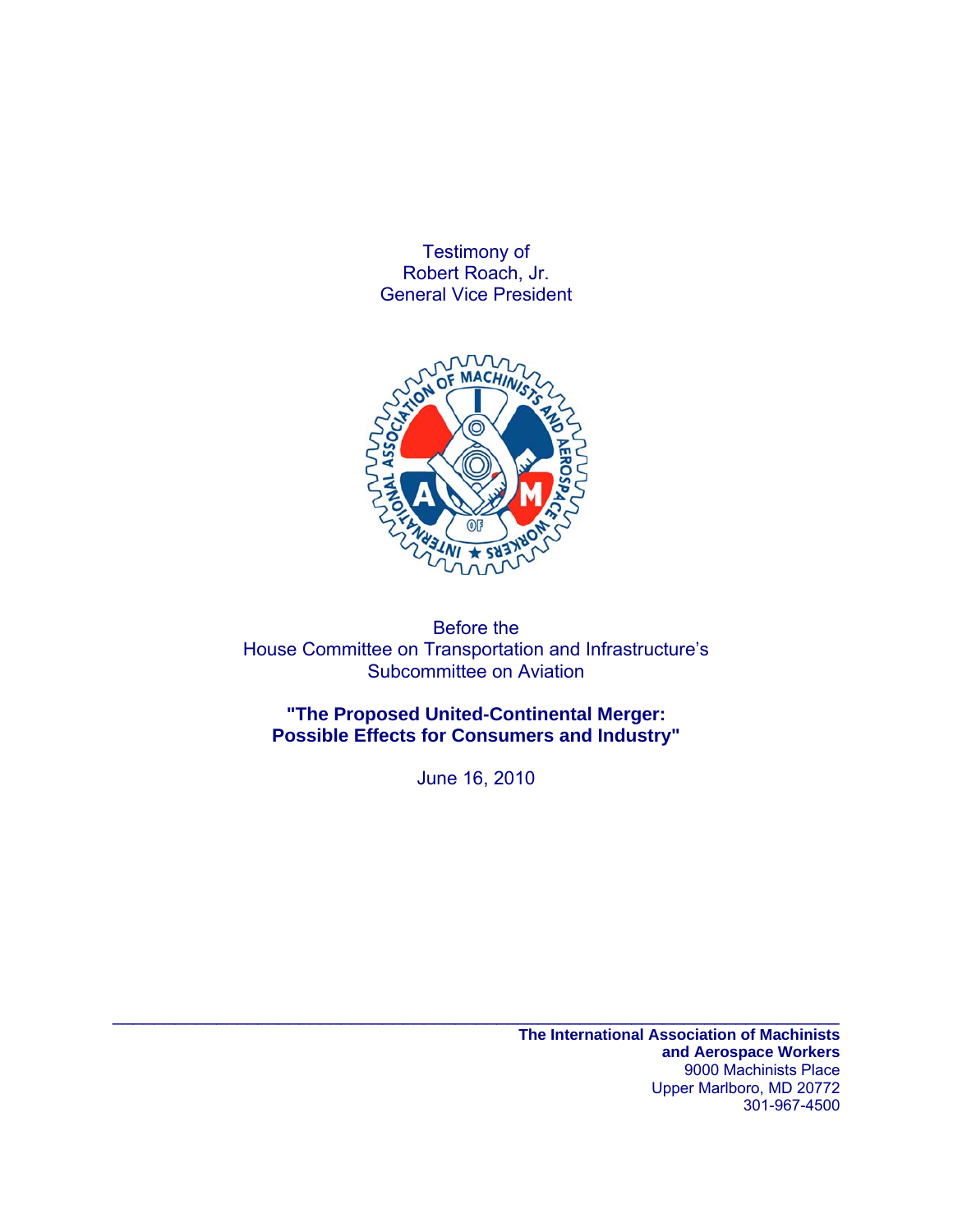Testimony of Robert Roach, Jr. General Vice President



Before the House Committee on Transportation and Infrastructure's Subcommittee on Aviation

**"The Proposed United-Continental Merger: Possible Effects for Consumers and Industry"** 

June 16, 2010

 $\mathcal{L}_\text{max} = \mathcal{L}_\text{max} = \mathcal{L}_\text{max} = \mathcal{L}_\text{max} = \mathcal{L}_\text{max} = \mathcal{L}_\text{max} = \mathcal{L}_\text{max} = \mathcal{L}_\text{max} = \mathcal{L}_\text{max} = \mathcal{L}_\text{max} = \mathcal{L}_\text{max} = \mathcal{L}_\text{max} = \mathcal{L}_\text{max} = \mathcal{L}_\text{max} = \mathcal{L}_\text{max} = \mathcal{L}_\text{max} = \mathcal{L}_\text{max} = \mathcal{L}_\text{max} = \mathcal{$ 

**The International Association of Machinists and Aerospace Workers**  9000 Machinists Place Upper Marlboro, MD 20772 301-967-4500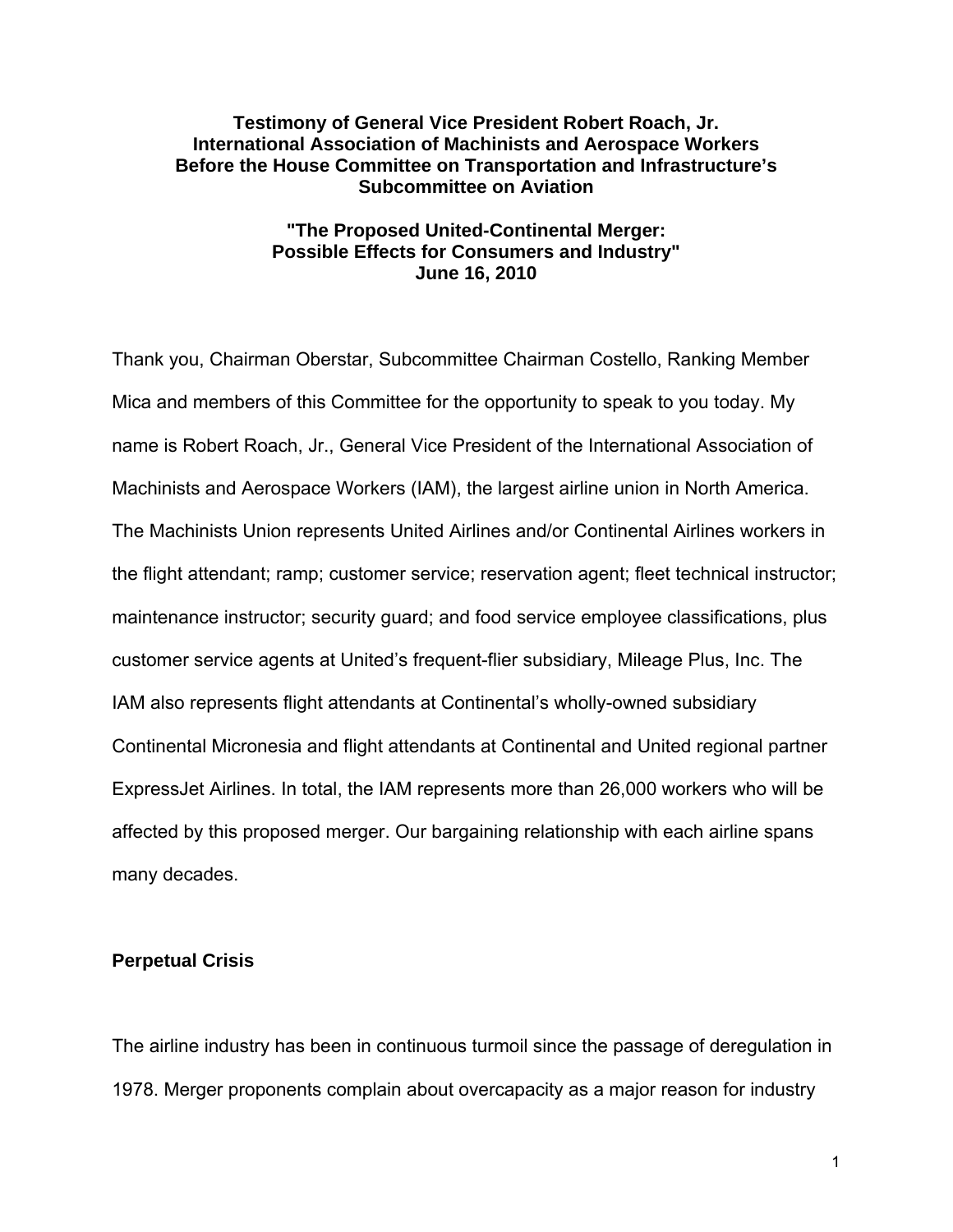## **Testimony of General Vice President Robert Roach, Jr. International Association of Machinists and Aerospace Workers Before the House Committee on Transportation and Infrastructure's Subcommittee on Aviation**

# **"The Proposed United-Continental Merger: Possible Effects for Consumers and Industry" June 16, 2010**

Thank you, Chairman Oberstar, Subcommittee Chairman Costello, Ranking Member Mica and members of this Committee for the opportunity to speak to you today. My name is Robert Roach, Jr., General Vice President of the International Association of Machinists and Aerospace Workers (IAM), the largest airline union in North America. The Machinists Union represents United Airlines and/or Continental Airlines workers in the flight attendant; ramp; customer service; reservation agent; fleet technical instructor; maintenance instructor; security guard; and food service employee classifications, plus customer service agents at United's frequent-flier subsidiary, Mileage Plus, Inc. The IAM also represents flight attendants at Continental's wholly-owned subsidiary Continental Micronesia and flight attendants at Continental and United regional partner ExpressJet Airlines. In total, the IAM represents more than 26,000 workers who will be affected by this proposed merger. Our bargaining relationship with each airline spans many decades.

#### **Perpetual Crisis**

The airline industry has been in continuous turmoil since the passage of deregulation in 1978. Merger proponents complain about overcapacity as a major reason for industry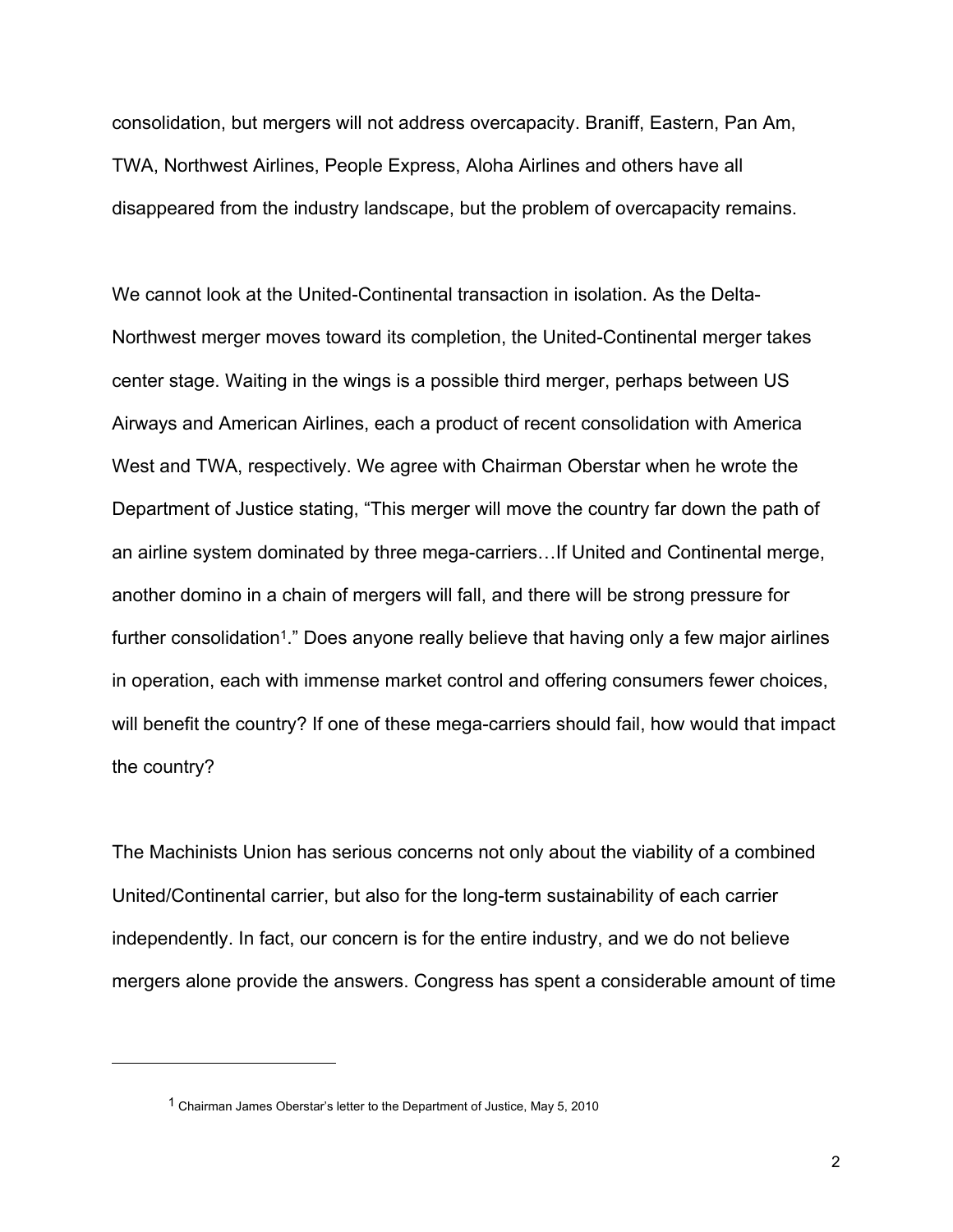consolidation, but mergers will not address overcapacity. Braniff, Eastern, Pan Am, TWA, Northwest Airlines, People Express, Aloha Airlines and others have all disappeared from the industry landscape, but the problem of overcapacity remains.

We cannot look at the United-Continental transaction in isolation. As the Delta-Northwest merger moves toward its completion, the United-Continental merger takes center stage. Waiting in the wings is a possible third merger, perhaps between US Airways and American Airlines, each a product of recent consolidation with America West and TWA, respectively. We agree with Chairman Oberstar when he wrote the Department of Justice stating, "This merger will move the country far down the path of an airline system dominated by three mega-carriers…If United and Continental merge, another domino in a chain of mergers will fall, and there will be strong pressure for further consolidation<sup>1</sup>." Does anyone really believe that having only a few major airlines in operation, each with immense market control and offering consumers fewer choices, will benefit the country? If one of these mega-carriers should fail, how would that impact the country?

The Machinists Union has serious concerns not only about the viability of a combined United/Continental carrier, but also for the long-term sustainability of each carrier independently. In fact, our concern is for the entire industry, and we do not believe mergers alone provide the answers. Congress has spent a considerable amount of time

<sup>1</sup> Chairman James Oberstar's letter to the Department of Justice, May 5, 2010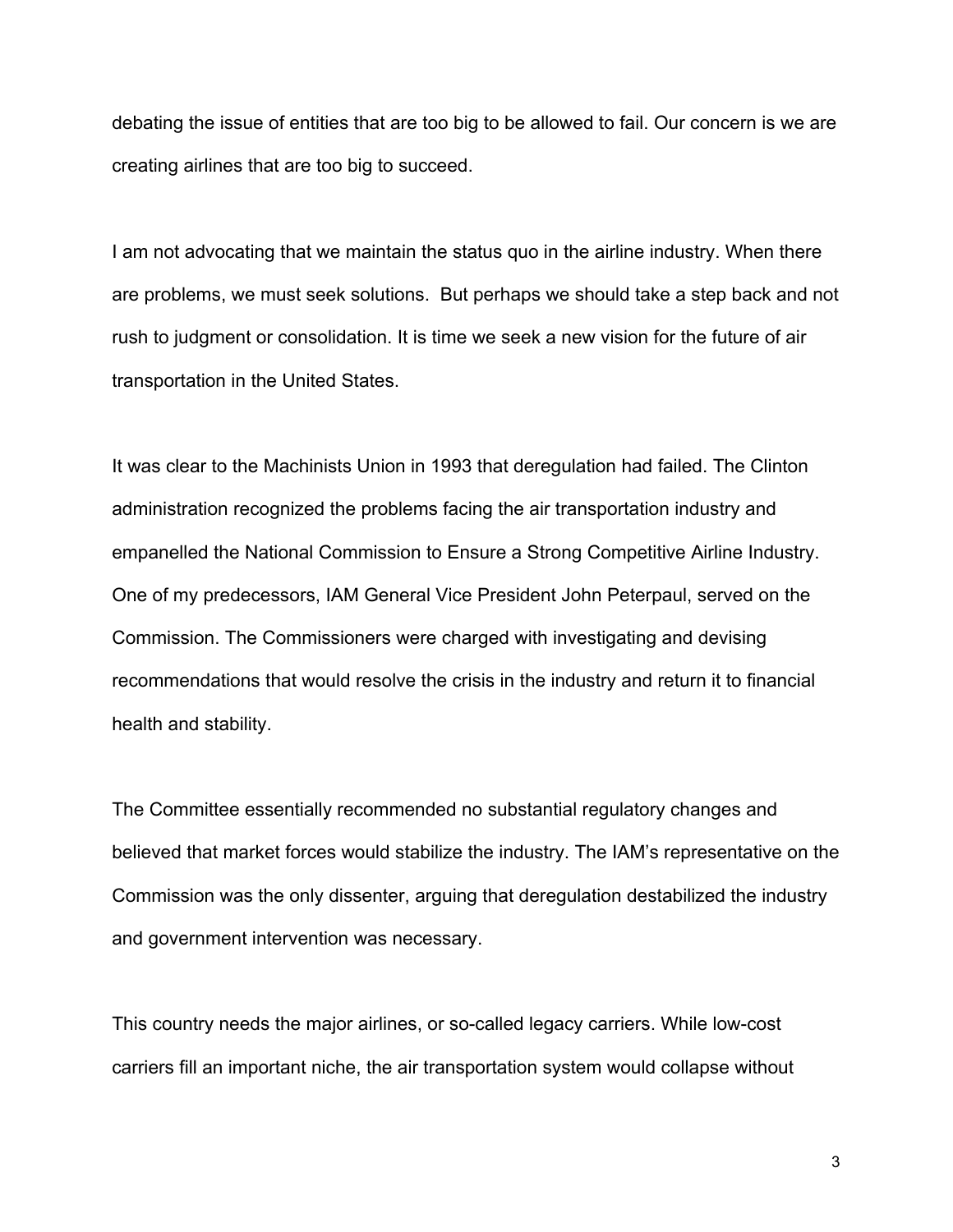debating the issue of entities that are too big to be allowed to fail. Our concern is we are creating airlines that are too big to succeed.

I am not advocating that we maintain the status quo in the airline industry. When there are problems, we must seek solutions. But perhaps we should take a step back and not rush to judgment or consolidation. It is time we seek a new vision for the future of air transportation in the United States.

It was clear to the Machinists Union in 1993 that deregulation had failed. The Clinton administration recognized the problems facing the air transportation industry and empanelled the National Commission to Ensure a Strong Competitive Airline Industry. One of my predecessors, IAM General Vice President John Peterpaul, served on the Commission. The Commissioners were charged with investigating and devising recommendations that would resolve the crisis in the industry and return it to financial health and stability.

The Committee essentially recommended no substantial regulatory changes and believed that market forces would stabilize the industry. The IAM's representative on the Commission was the only dissenter, arguing that deregulation destabilized the industry and government intervention was necessary.

This country needs the major airlines, or so-called legacy carriers. While low-cost carriers fill an important niche, the air transportation system would collapse without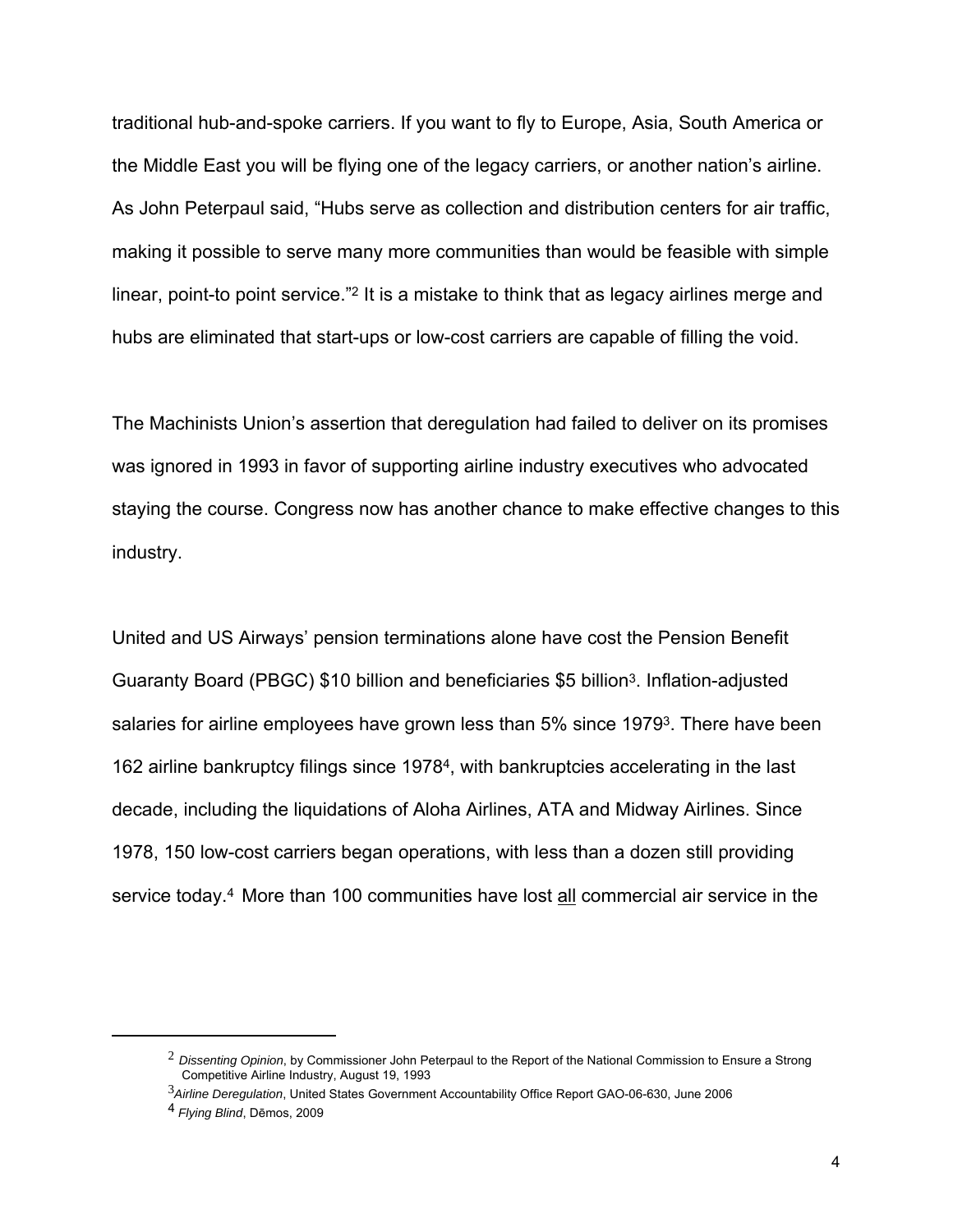traditional hub-and-spoke carriers. If you want to fly to Europe, Asia, South America or the Middle East you will be flying one of the legacy carriers, or another nation's airline. As John Peterpaul said, "Hubs serve as collection and distribution centers for air traffic, making it possible to serve many more communities than would be feasible with simple linear, point-to point service."2 It is a mistake to think that as legacy airlines merge and hubs are eliminated that start-ups or low-cost carriers are capable of filling the void.

The Machinists Union's assertion that deregulation had failed to deliver on its promises was ignored in 1993 in favor of supporting airline industry executives who advocated staying the course. Congress now has another chance to make effective changes to this industry.

United and US Airways' pension terminations alone have cost the Pension Benefit Guaranty Board (PBGC) \$10 billion and beneficiaries \$5 billion3. Inflation-adjusted salaries for airline employees have grown less than 5% since 19793. There have been 162 airline bankruptcy filings since 19784, with bankruptcies accelerating in the last decade, including the liquidations of Aloha Airlines, ATA and Midway Airlines. Since 1978, 150 low-cost carriers began operations, with less than a dozen still providing service today.<sup>4</sup> More than 100 communities have lost all commercial air service in the

 $\overline{a}$ 

<sup>2</sup> *Dissenting Opinion*, by Commissioner John Peterpaul to the Report of the National Commission to Ensure a Strong Competitive Airline Industry, August 19, 1993

<sup>3</sup>*Airline Deregulation*, United States Government Accountability Office Report GAO-06-630, June 2006

<sup>4</sup> *Flying Blind*, Dēmos, 2009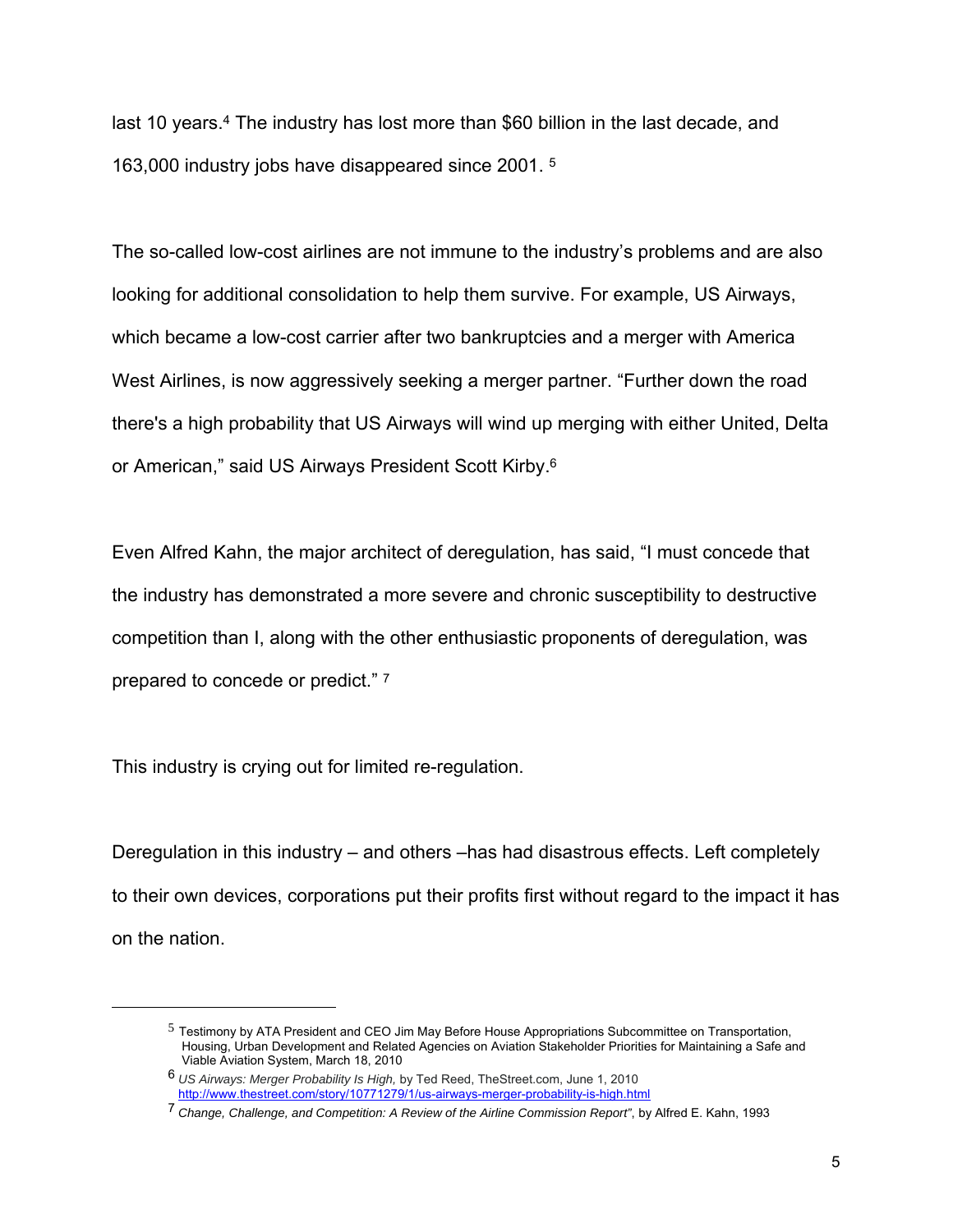last 10 years.4 The industry has lost more than \$60 billion in the last decade, and 163,000 industry jobs have disappeared since 2001. 5

The so-called low-cost airlines are not immune to the industry's problems and are also looking for additional consolidation to help them survive. For example, US Airways, which became a low-cost carrier after two bankruptcies and a merger with America West Airlines, is now aggressively seeking a merger partner. "Further down the road there's a high probability that US Airways will wind up merging with either United, Delta or American," said US Airways President Scott Kirby.6

Even Alfred Kahn, the major architect of deregulation, has said, "I must concede that the industry has demonstrated a more severe and chronic susceptibility to destructive competition than I, along with the other enthusiastic proponents of deregulation, was prepared to concede or predict." 7

This industry is crying out for limited re-regulation.

 $\overline{a}$ 

Deregulation in this industry – and others –has had disastrous effects. Left completely to their own devices, corporations put their profits first without regard to the impact it has on the nation.

 $<sup>5</sup>$  Testimony by ATA President and CEO Jim May Before House Appropriations Subcommittee on Transportation,</sup> Housing, Urban Development and Related Agencies on Aviation Stakeholder Priorities for Maintaining a Safe and Viable Aviation System, March 18, 2010

<sup>6</sup> *US Airways: Merger Probability Is High,* by Ted Reed, TheStreet.com, June 1, 2010 http://www.thestreet.com/story/10771279/1/us-airways-merger-probability-is-high.html

<sup>7</sup> *Change, Challenge, and Competition: A Review of the Airline Commission Report"*, by Alfred E. Kahn, 1993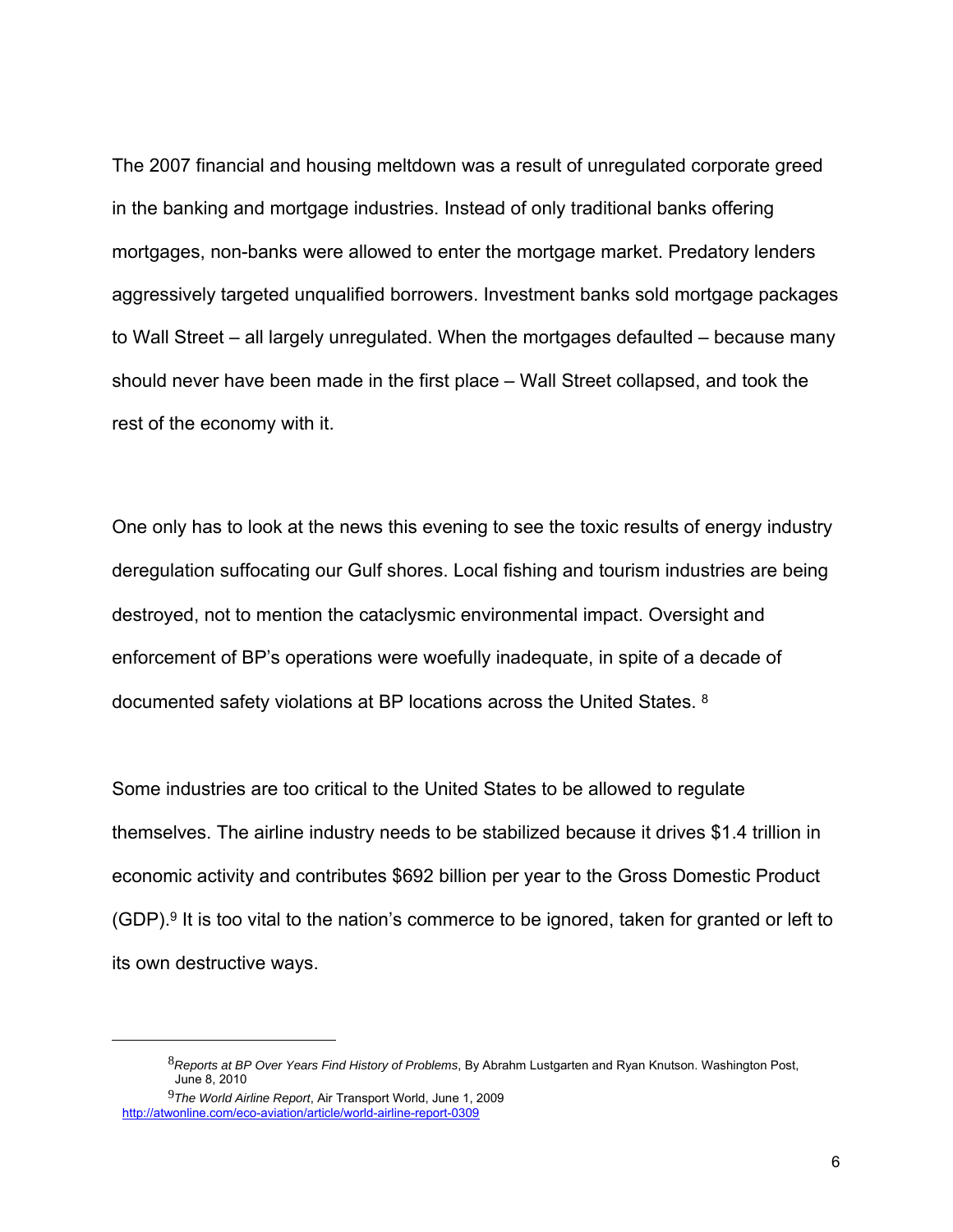The 2007 financial and housing meltdown was a result of unregulated corporate greed in the banking and mortgage industries. Instead of only traditional banks offering mortgages, non-banks were allowed to enter the mortgage market. Predatory lenders aggressively targeted unqualified borrowers. Investment banks sold mortgage packages to Wall Street – all largely unregulated. When the mortgages defaulted – because many should never have been made in the first place – Wall Street collapsed, and took the rest of the economy with it.

One only has to look at the news this evening to see the toxic results of energy industry deregulation suffocating our Gulf shores. Local fishing and tourism industries are being destroyed, not to mention the cataclysmic environmental impact. Oversight and enforcement of BP's operations were woefully inadequate, in spite of a decade of documented safety violations at BP locations across the United States. 8

Some industries are too critical to the United States to be allowed to regulate themselves. The airline industry needs to be stabilized because it drives \$1.4 trillion in economic activity and contributes \$692 billion per year to the Gross Domestic Product  $(GDP)$ .<sup>9</sup> It is too vital to the nation's commerce to be ignored, taken for granted or left to its own destructive ways.

 $\overline{a}$ 

<sup>8</sup>*Reports at BP Over Years Find History of Problems*, By Abrahm Lustgarten and Ryan Knutson. Washington Post, June 8, 2010

<sup>9</sup>*The World Airline Report*, Air Transport World, June 1, 2009 http://atwonline.com/eco-aviation/article/world-airline-report-0309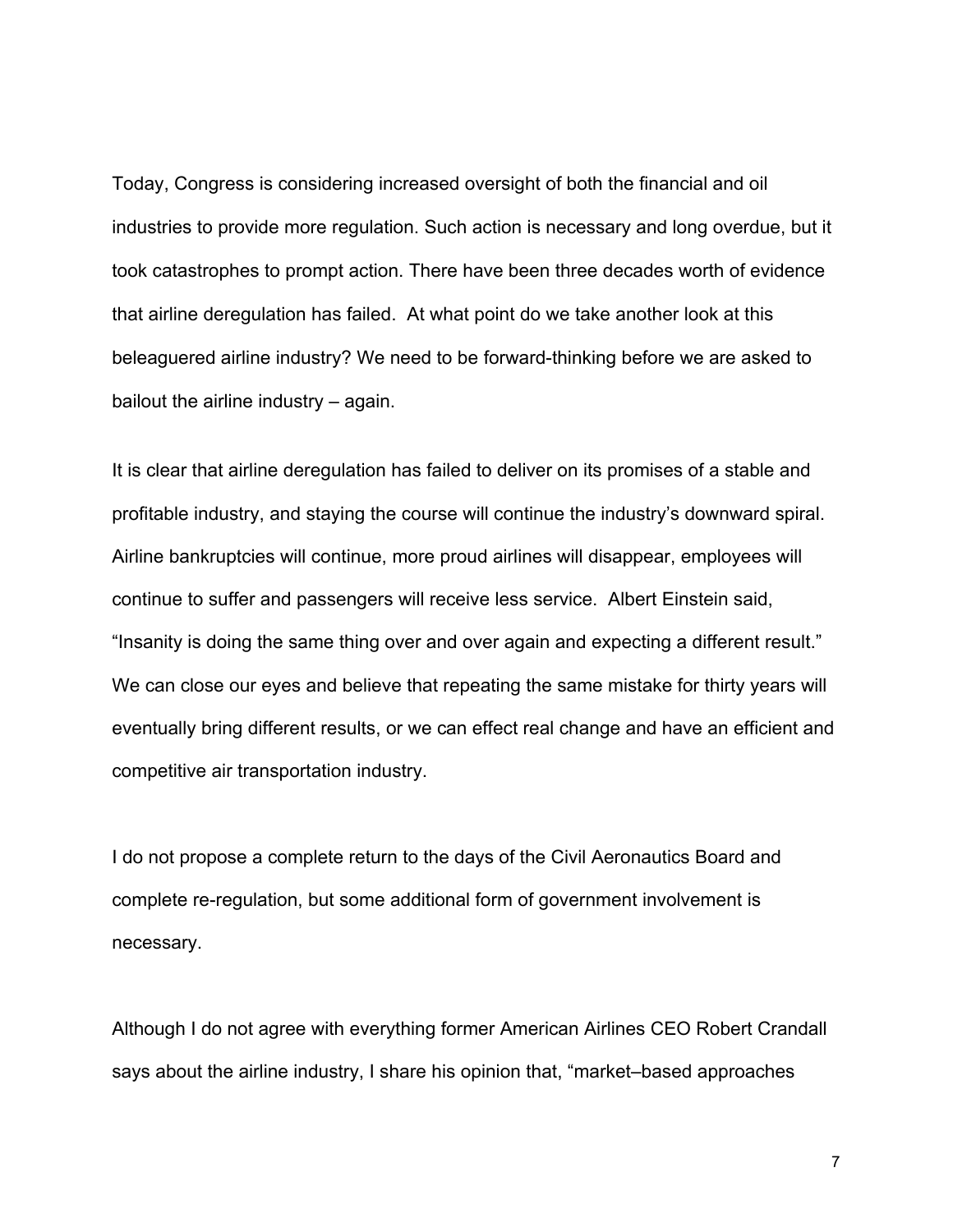Today, Congress is considering increased oversight of both the financial and oil industries to provide more regulation. Such action is necessary and long overdue, but it took catastrophes to prompt action. There have been three decades worth of evidence that airline deregulation has failed. At what point do we take another look at this beleaguered airline industry? We need to be forward-thinking before we are asked to bailout the airline industry – again.

It is clear that airline deregulation has failed to deliver on its promises of a stable and profitable industry, and staying the course will continue the industry's downward spiral. Airline bankruptcies will continue, more proud airlines will disappear, employees will continue to suffer and passengers will receive less service. Albert Einstein said, "Insanity is doing the same thing over and over again and expecting a different result." We can close our eyes and believe that repeating the same mistake for thirty years will eventually bring different results, or we can effect real change and have an efficient and competitive air transportation industry.

I do not propose a complete return to the days of the Civil Aeronautics Board and complete re-regulation, but some additional form of government involvement is necessary.

Although I do not agree with everything former American Airlines CEO Robert Crandall says about the airline industry, I share his opinion that, "market–based approaches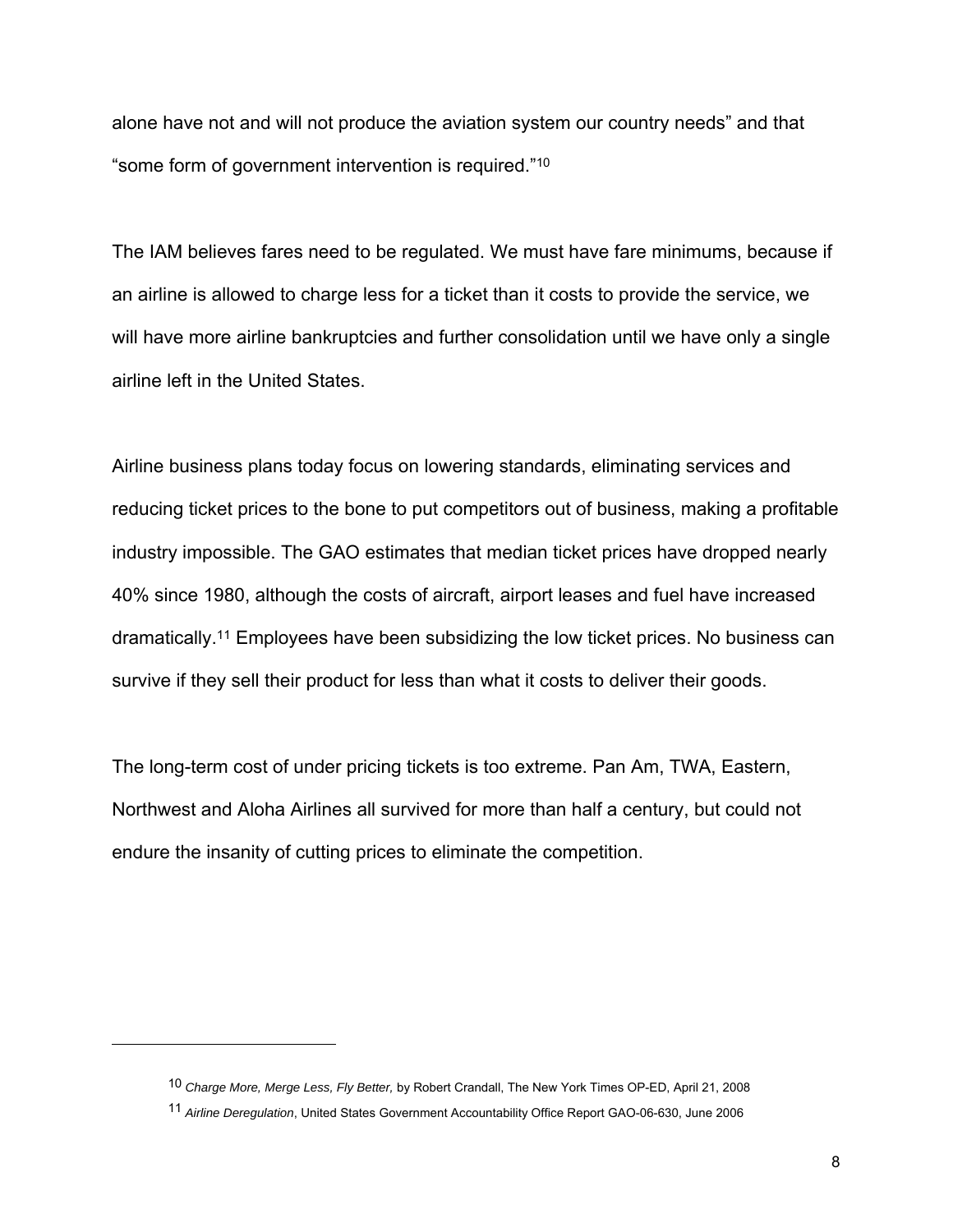alone have not and will not produce the aviation system our country needs" and that "some form of government intervention is required."10

The IAM believes fares need to be regulated. We must have fare minimums, because if an airline is allowed to charge less for a ticket than it costs to provide the service, we will have more airline bankruptcies and further consolidation until we have only a single airline left in the United States.

Airline business plans today focus on lowering standards, eliminating services and reducing ticket prices to the bone to put competitors out of business, making a profitable industry impossible. The GAO estimates that median ticket prices have dropped nearly 40% since 1980, although the costs of aircraft, airport leases and fuel have increased dramatically.11 Employees have been subsidizing the low ticket prices. No business can survive if they sell their product for less than what it costs to deliver their goods.

The long-term cost of under pricing tickets is too extreme. Pan Am, TWA, Eastern, Northwest and Aloha Airlines all survived for more than half a century, but could not endure the insanity of cutting prices to eliminate the competition.

 $\overline{a}$ 

<sup>10</sup> *Charge More, Merge Less, Fly Better,* by Robert Crandall, The New York Times OP-ED, April 21, 2008

<sup>11</sup> *Airline Deregulation*, United States Government Accountability Office Report GAO-06-630, June 2006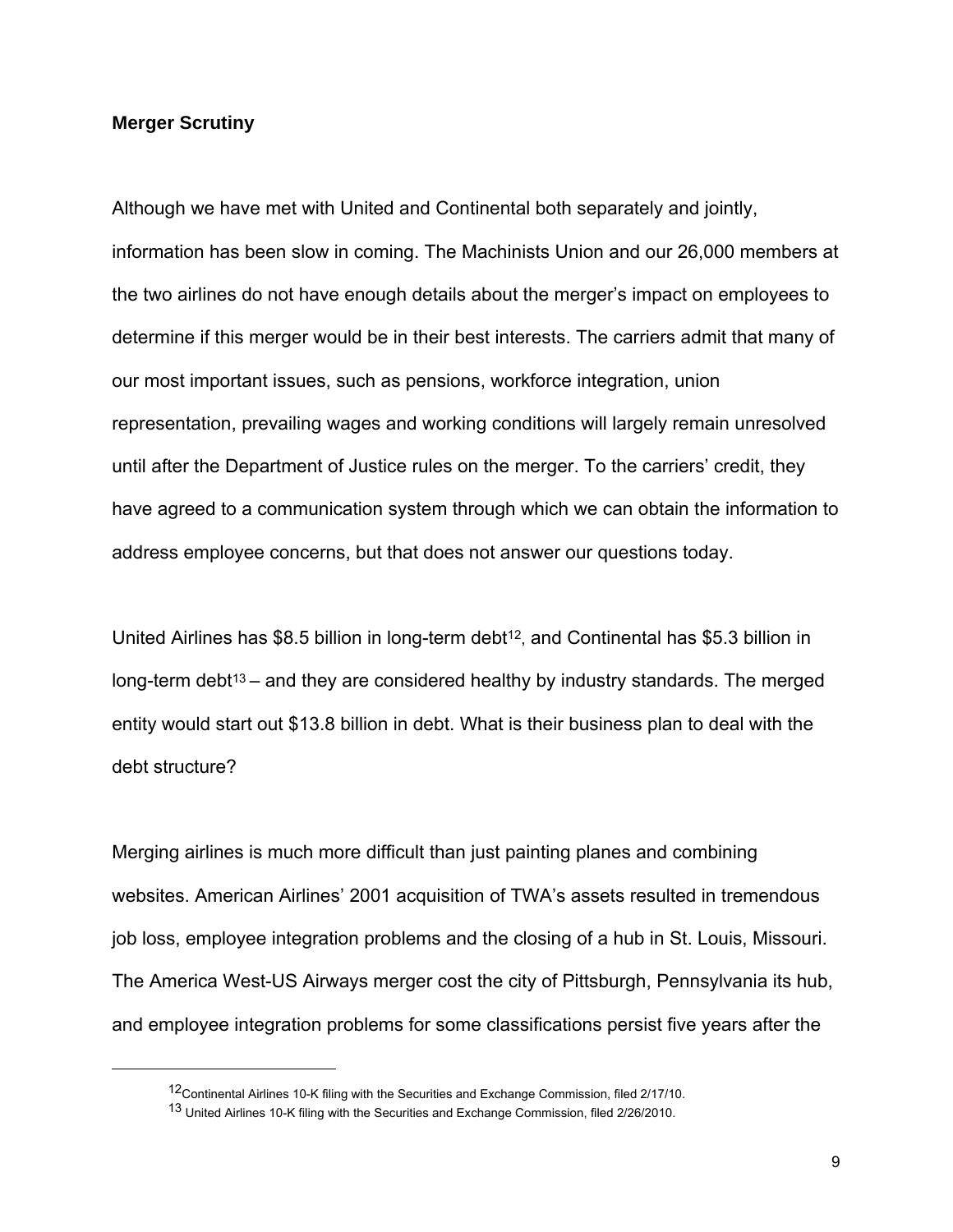#### **Merger Scrutiny**

 $\overline{a}$ 

Although we have met with United and Continental both separately and jointly, information has been slow in coming. The Machinists Union and our 26,000 members at the two airlines do not have enough details about the merger's impact on employees to determine if this merger would be in their best interests. The carriers admit that many of our most important issues, such as pensions, workforce integration, union representation, prevailing wages and working conditions will largely remain unresolved until after the Department of Justice rules on the merger. To the carriers' credit, they have agreed to a communication system through which we can obtain the information to address employee concerns, but that does not answer our questions today.

United Airlines has \$8.5 billion in long-term debt<sup>12</sup>, and Continental has \$5.3 billion in long-term debt<sup>13</sup> – and they are considered healthy by industry standards. The merged entity would start out \$13.8 billion in debt. What is their business plan to deal with the debt structure?

Merging airlines is much more difficult than just painting planes and combining websites. American Airlines' 2001 acquisition of TWA's assets resulted in tremendous job loss, employee integration problems and the closing of a hub in St. Louis, Missouri. The America West-US Airways merger cost the city of Pittsburgh, Pennsylvania its hub, and employee integration problems for some classifications persist five years after the

<sup>12</sup>Continental Airlines 10-K filing with the Securities and Exchange Commission, filed 2/17/10.

<sup>13</sup> United Airlines 10-K filing with the Securities and Exchange Commission, filed 2/26/2010.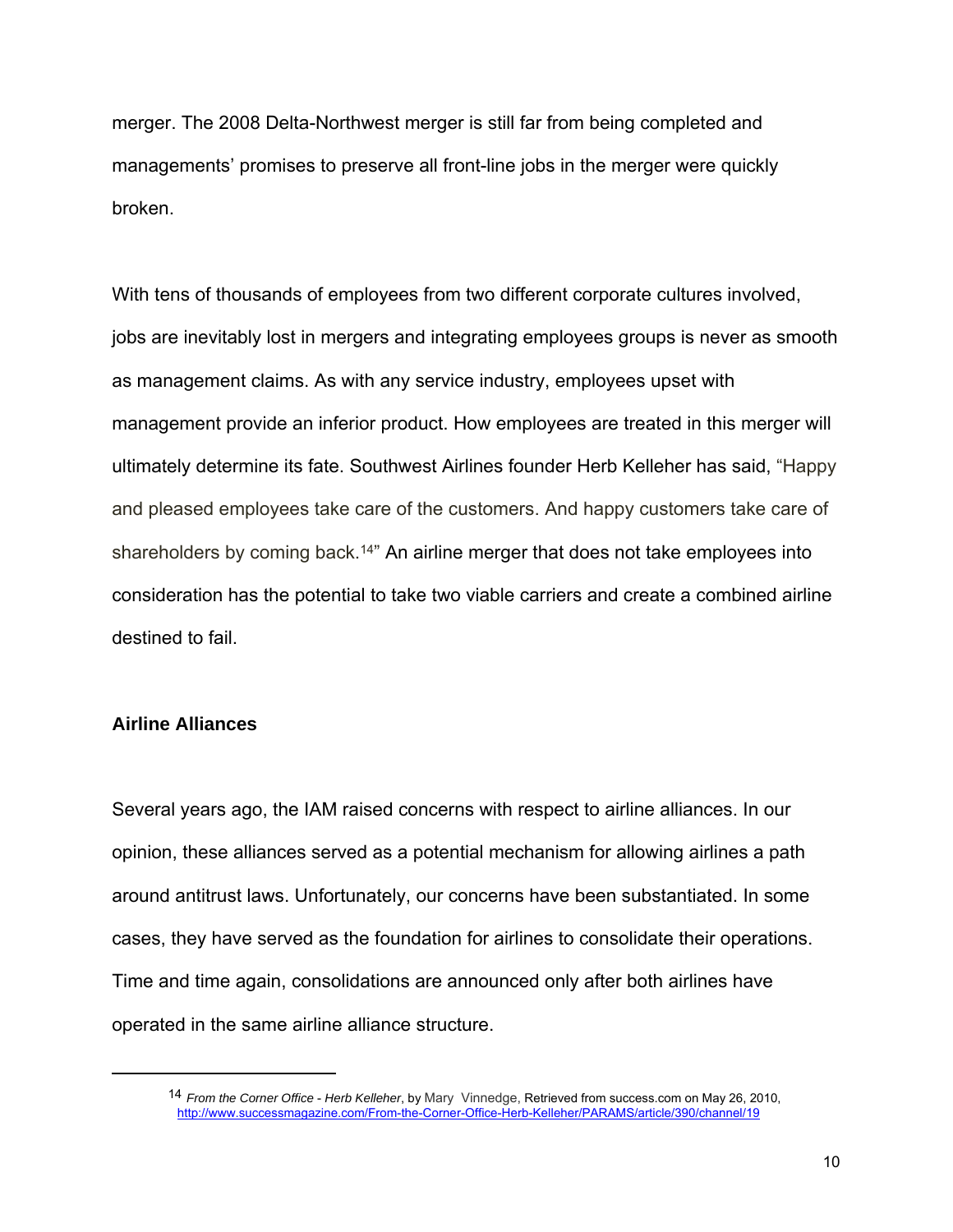merger. The 2008 Delta-Northwest merger is still far from being completed and managements' promises to preserve all front-line jobs in the merger were quickly broken.

With tens of thousands of employees from two different corporate cultures involved, jobs are inevitably lost in mergers and integrating employees groups is never as smooth as management claims. As with any service industry, employees upset with management provide an inferior product. How employees are treated in this merger will ultimately determine its fate. Southwest Airlines founder Herb Kelleher has said, "Happy and pleased employees take care of the customers. And happy customers take care of shareholders by coming back.<sup>14"</sup> An airline merger that does not take employees into consideration has the potential to take two viable carriers and create a combined airline destined to fail.

#### **Airline Alliances**

1

Several years ago, the IAM raised concerns with respect to airline alliances. In our opinion, these alliances served as a potential mechanism for allowing airlines a path around antitrust laws. Unfortunately, our concerns have been substantiated. In some cases, they have served as the foundation for airlines to consolidate their operations. Time and time again, consolidations are announced only after both airlines have operated in the same airline alliance structure.

<sup>14</sup> *From the Corner Office* - *Herb Kelleher*, by Mary Vinnedge, Retrieved from success.com on May 26, 2010, http://www.successmagazine.com/From-the-Corner-Office-Herb-Kelleher/PARAMS/article/390/channel/19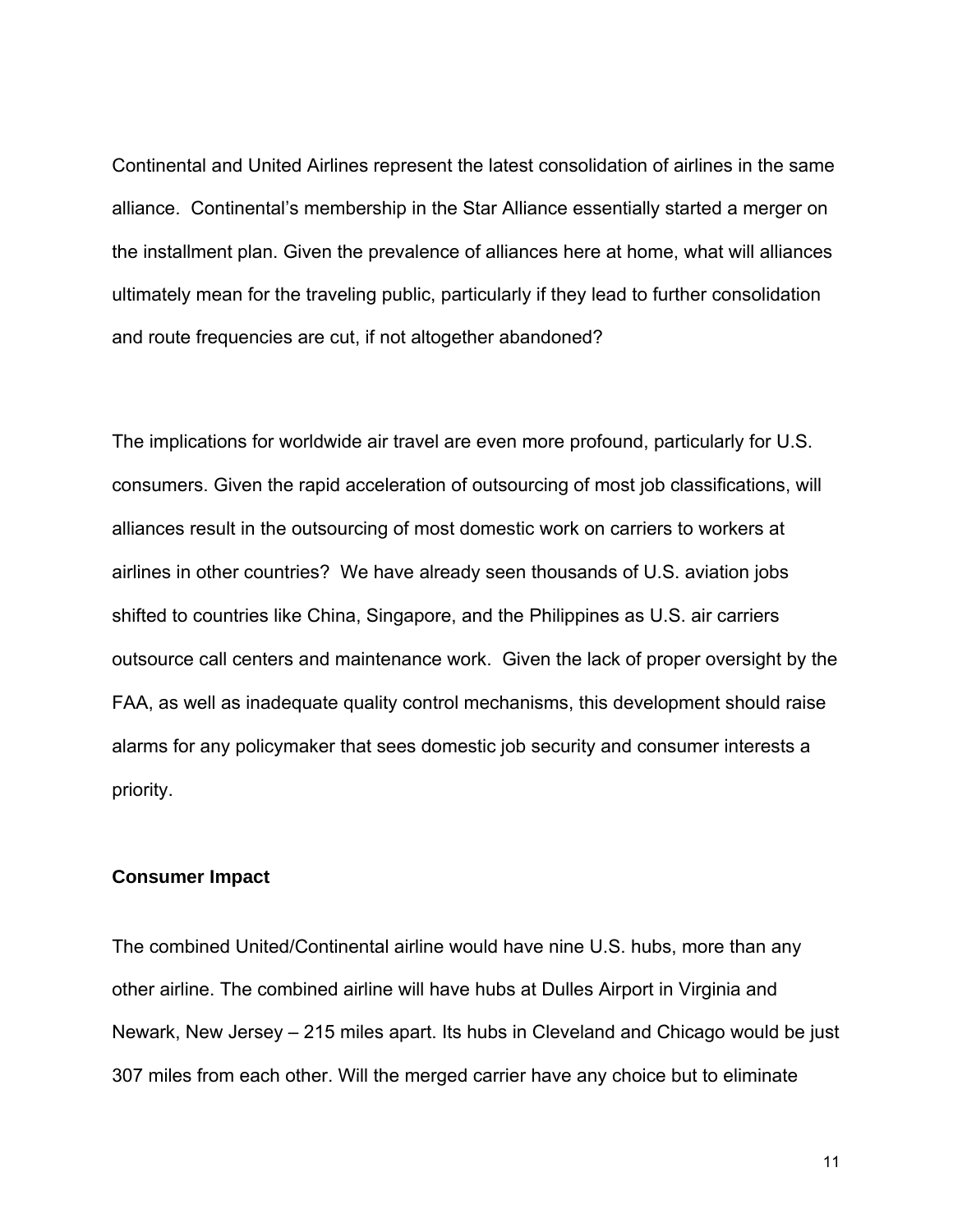Continental and United Airlines represent the latest consolidation of airlines in the same alliance. Continental's membership in the Star Alliance essentially started a merger on the installment plan. Given the prevalence of alliances here at home, what will alliances ultimately mean for the traveling public, particularly if they lead to further consolidation and route frequencies are cut, if not altogether abandoned?

The implications for worldwide air travel are even more profound, particularly for U.S. consumers. Given the rapid acceleration of outsourcing of most job classifications, will alliances result in the outsourcing of most domestic work on carriers to workers at airlines in other countries? We have already seen thousands of U.S. aviation jobs shifted to countries like China, Singapore, and the Philippines as U.S. air carriers outsource call centers and maintenance work. Given the lack of proper oversight by the FAA, as well as inadequate quality control mechanisms, this development should raise alarms for any policymaker that sees domestic job security and consumer interests a priority.

### **Consumer Impact**

The combined United/Continental airline would have nine U.S. hubs, more than any other airline. The combined airline will have hubs at Dulles Airport in Virginia and Newark, New Jersey – 215 miles apart. Its hubs in Cleveland and Chicago would be just 307 miles from each other. Will the merged carrier have any choice but to eliminate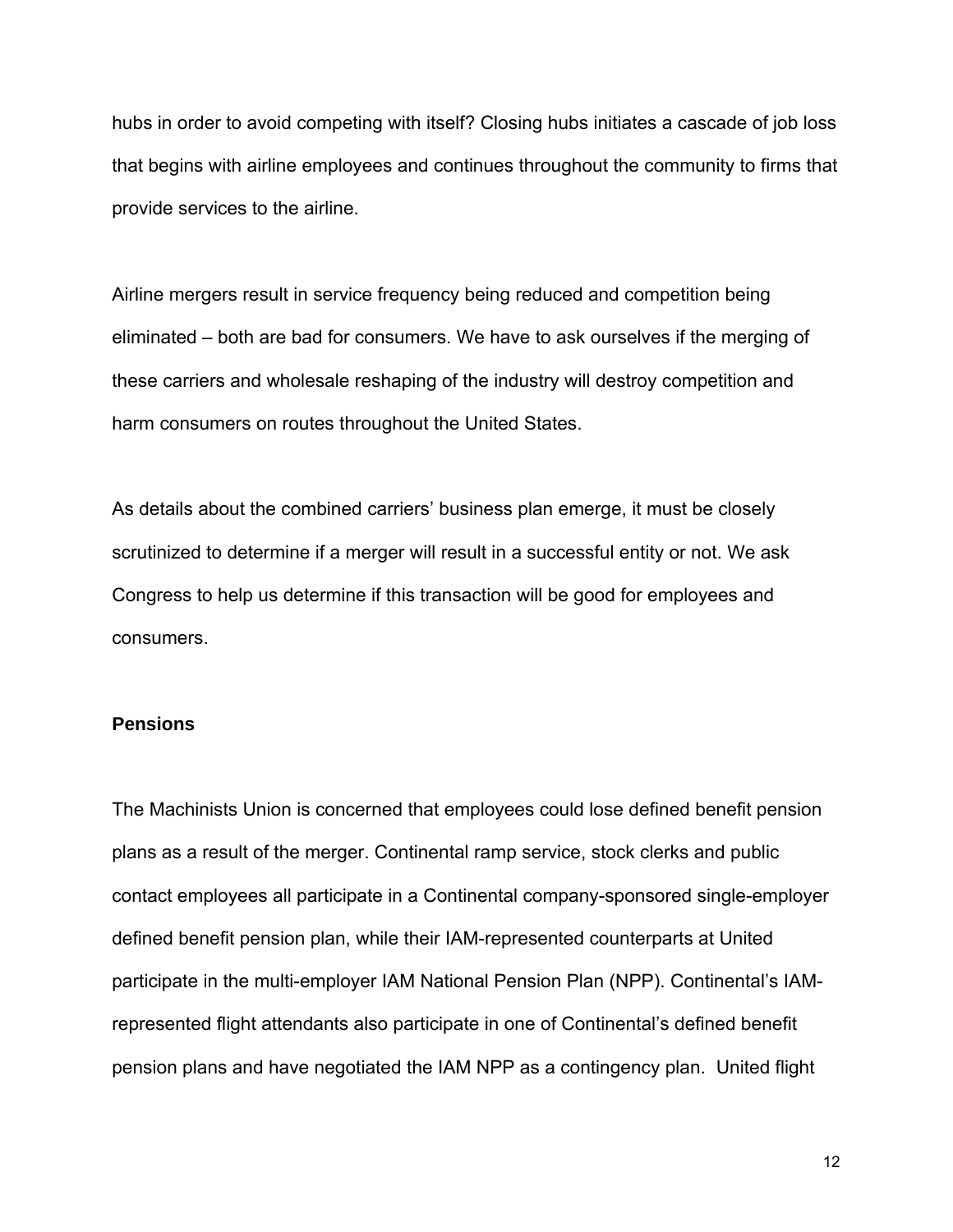hubs in order to avoid competing with itself? Closing hubs initiates a cascade of job loss that begins with airline employees and continues throughout the community to firms that provide services to the airline.

Airline mergers result in service frequency being reduced and competition being eliminated – both are bad for consumers. We have to ask ourselves if the merging of these carriers and wholesale reshaping of the industry will destroy competition and harm consumers on routes throughout the United States.

As details about the combined carriers' business plan emerge, it must be closely scrutinized to determine if a merger will result in a successful entity or not. We ask Congress to help us determine if this transaction will be good for employees and consumers.

### **Pensions**

The Machinists Union is concerned that employees could lose defined benefit pension plans as a result of the merger. Continental ramp service, stock clerks and public contact employees all participate in a Continental company-sponsored single-employer defined benefit pension plan, while their IAM-represented counterparts at United participate in the multi-employer IAM National Pension Plan (NPP). Continental's IAMrepresented flight attendants also participate in one of Continental's defined benefit pension plans and have negotiated the IAM NPP as a contingency plan. United flight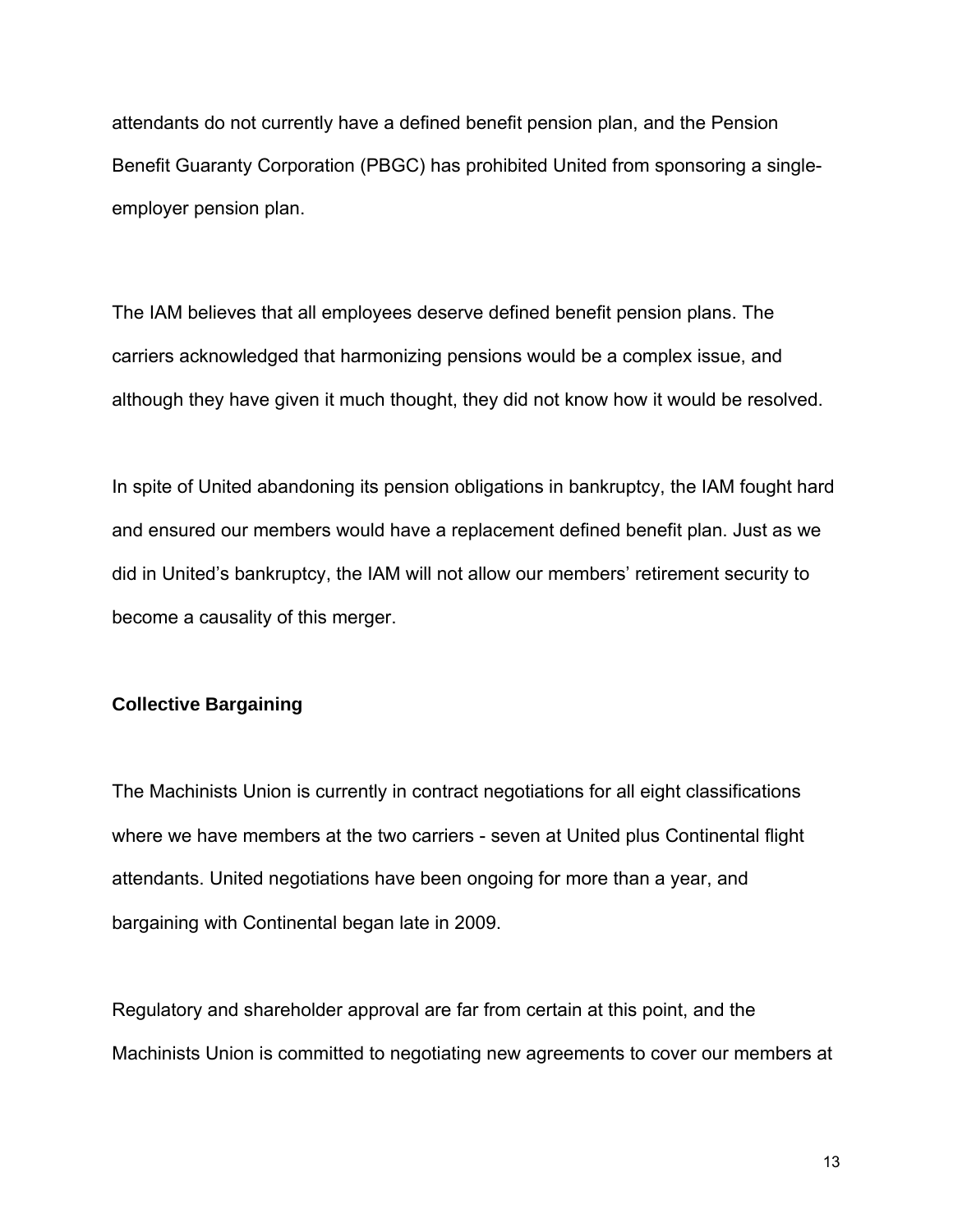attendants do not currently have a defined benefit pension plan, and the Pension Benefit Guaranty Corporation (PBGC) has prohibited United from sponsoring a singleemployer pension plan.

The IAM believes that all employees deserve defined benefit pension plans. The carriers acknowledged that harmonizing pensions would be a complex issue, and although they have given it much thought, they did not know how it would be resolved.

In spite of United abandoning its pension obligations in bankruptcy, the IAM fought hard and ensured our members would have a replacement defined benefit plan. Just as we did in United's bankruptcy, the IAM will not allow our members' retirement security to become a causality of this merger.

# **Collective Bargaining**

The Machinists Union is currently in contract negotiations for all eight classifications where we have members at the two carriers - seven at United plus Continental flight attendants. United negotiations have been ongoing for more than a year, and bargaining with Continental began late in 2009.

Regulatory and shareholder approval are far from certain at this point, and the Machinists Union is committed to negotiating new agreements to cover our members at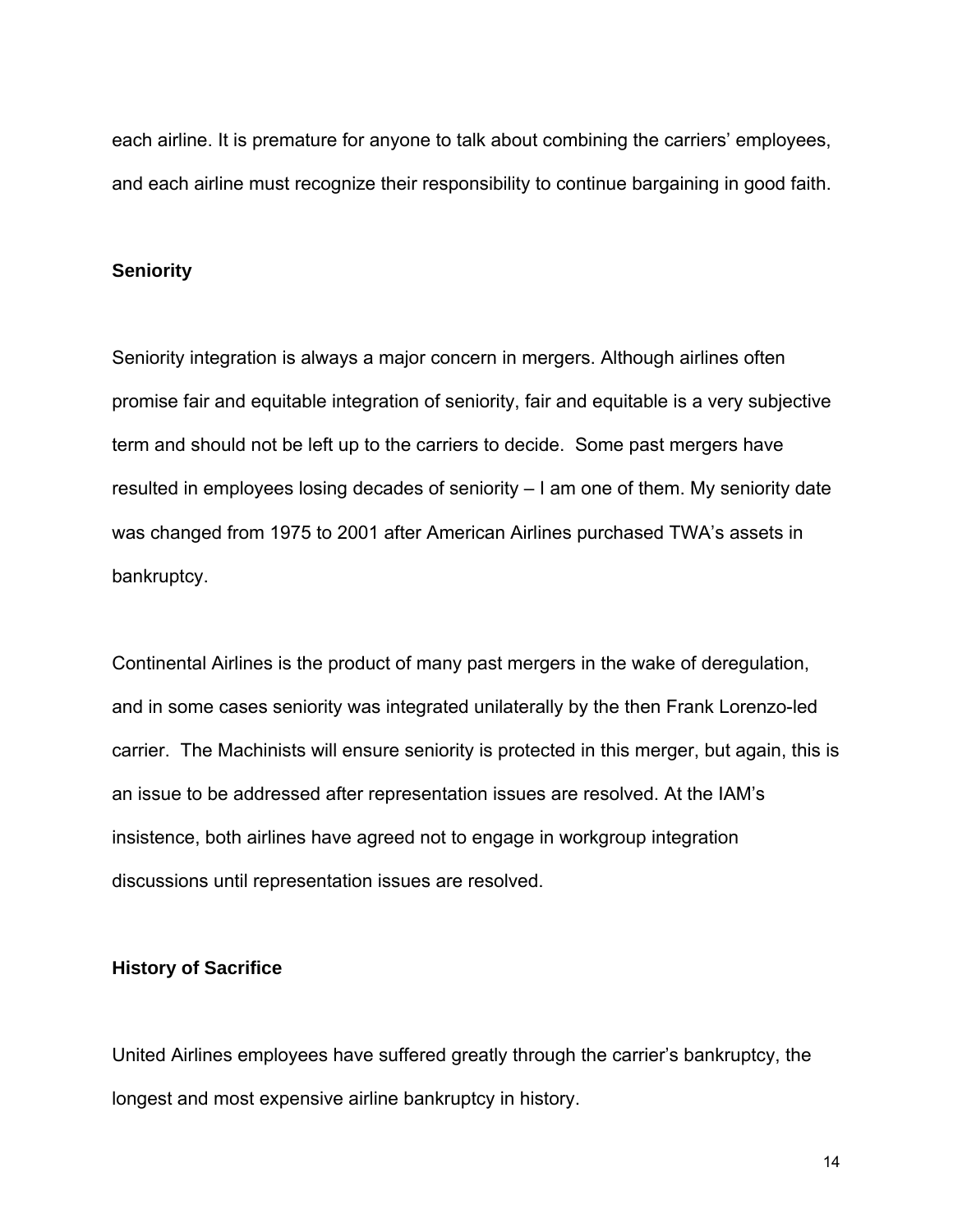each airline. It is premature for anyone to talk about combining the carriers' employees, and each airline must recognize their responsibility to continue bargaining in good faith.

## **Seniority**

Seniority integration is always a major concern in mergers. Although airlines often promise fair and equitable integration of seniority, fair and equitable is a very subjective term and should not be left up to the carriers to decide. Some past mergers have resulted in employees losing decades of seniority – I am one of them. My seniority date was changed from 1975 to 2001 after American Airlines purchased TWA's assets in bankruptcy.

Continental Airlines is the product of many past mergers in the wake of deregulation, and in some cases seniority was integrated unilaterally by the then Frank Lorenzo-led carrier. The Machinists will ensure seniority is protected in this merger, but again, this is an issue to be addressed after representation issues are resolved. At the IAM's insistence, both airlines have agreed not to engage in workgroup integration discussions until representation issues are resolved.

### **History of Sacrifice**

United Airlines employees have suffered greatly through the carrier's bankruptcy, the longest and most expensive airline bankruptcy in history.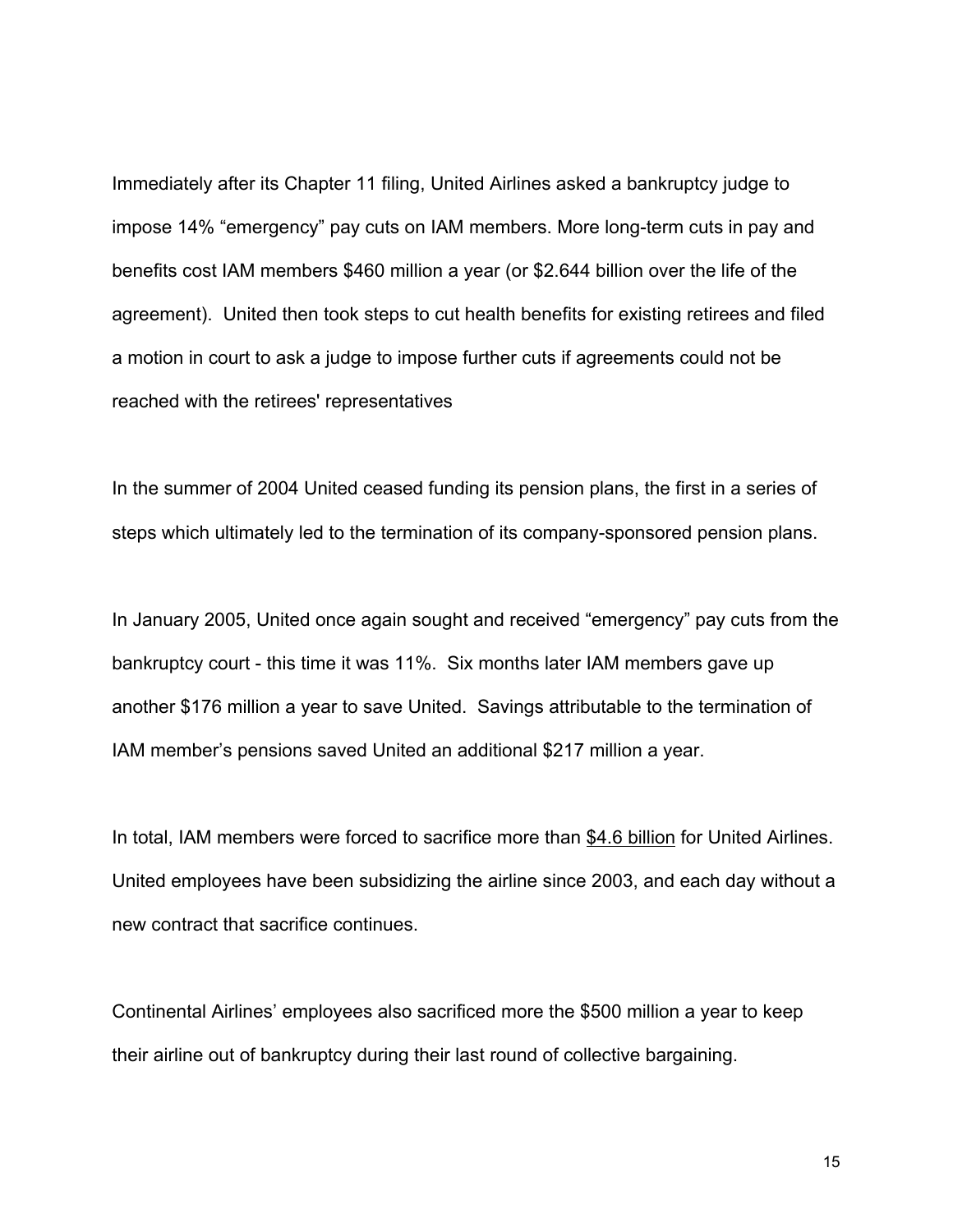Immediately after its Chapter 11 filing, United Airlines asked a bankruptcy judge to impose 14% "emergency" pay cuts on IAM members. More long-term cuts in pay and benefits cost IAM members \$460 million a year (or \$2.644 billion over the life of the agreement). United then took steps to cut health benefits for existing retirees and filed a motion in court to ask a judge to impose further cuts if agreements could not be reached with the retirees' representatives

In the summer of 2004 United ceased funding its pension plans, the first in a series of steps which ultimately led to the termination of its company-sponsored pension plans.

In January 2005, United once again sought and received "emergency" pay cuts from the bankruptcy court - this time it was 11%. Six months later IAM members gave up another \$176 million a year to save United. Savings attributable to the termination of IAM member's pensions saved United an additional \$217 million a year.

In total, IAM members were forced to sacrifice more than \$4.6 billion for United Airlines. United employees have been subsidizing the airline since 2003, and each day without a new contract that sacrifice continues.

Continental Airlines' employees also sacrificed more the \$500 million a year to keep their airline out of bankruptcy during their last round of collective bargaining.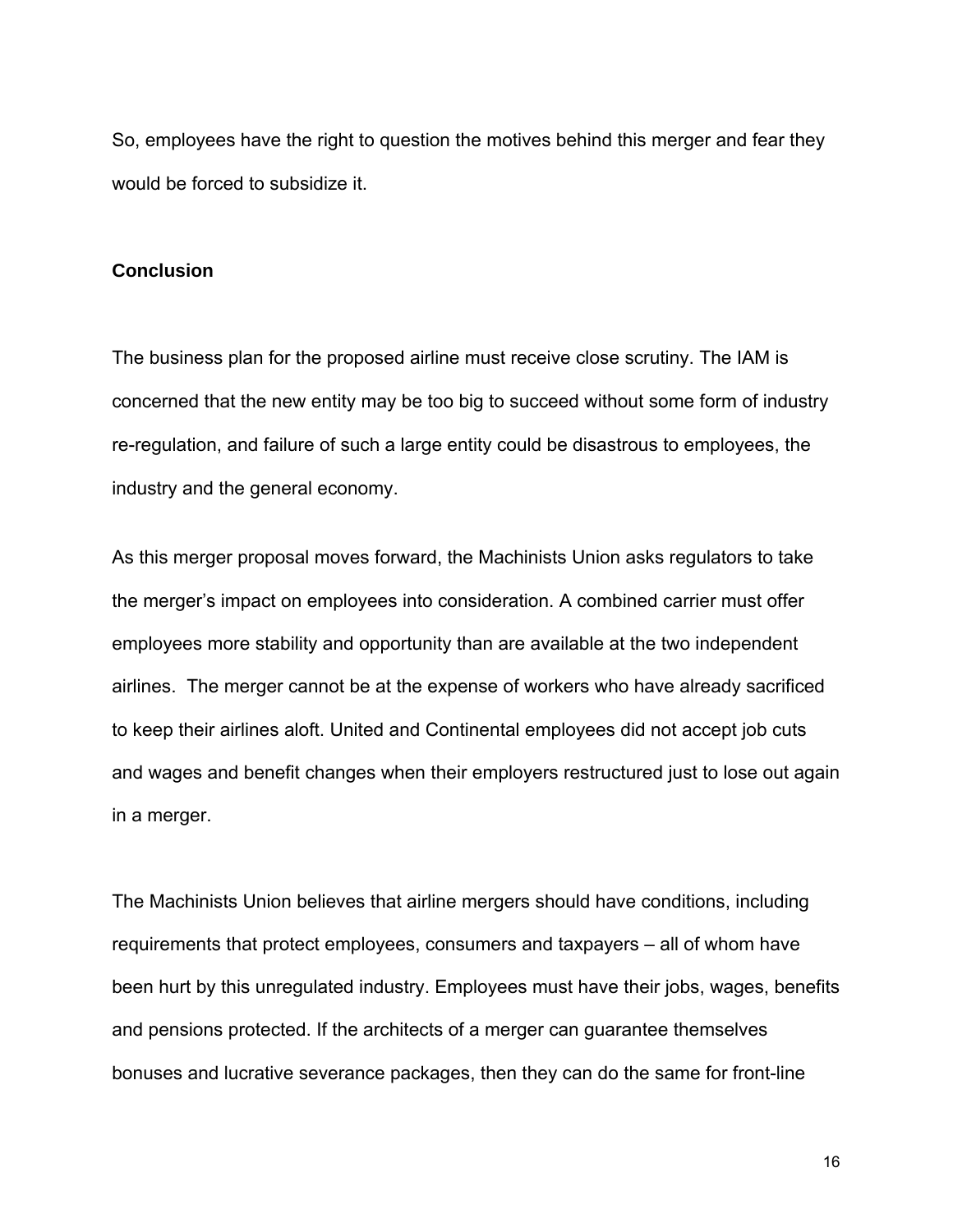So, employees have the right to question the motives behind this merger and fear they would be forced to subsidize it.

### **Conclusion**

The business plan for the proposed airline must receive close scrutiny. The IAM is concerned that the new entity may be too big to succeed without some form of industry re-regulation, and failure of such a large entity could be disastrous to employees, the industry and the general economy.

As this merger proposal moves forward, the Machinists Union asks regulators to take the merger's impact on employees into consideration. A combined carrier must offer employees more stability and opportunity than are available at the two independent airlines. The merger cannot be at the expense of workers who have already sacrificed to keep their airlines aloft. United and Continental employees did not accept job cuts and wages and benefit changes when their employers restructured just to lose out again in a merger.

The Machinists Union believes that airline mergers should have conditions, including requirements that protect employees, consumers and taxpayers – all of whom have been hurt by this unregulated industry. Employees must have their jobs, wages, benefits and pensions protected. If the architects of a merger can guarantee themselves bonuses and lucrative severance packages, then they can do the same for front-line